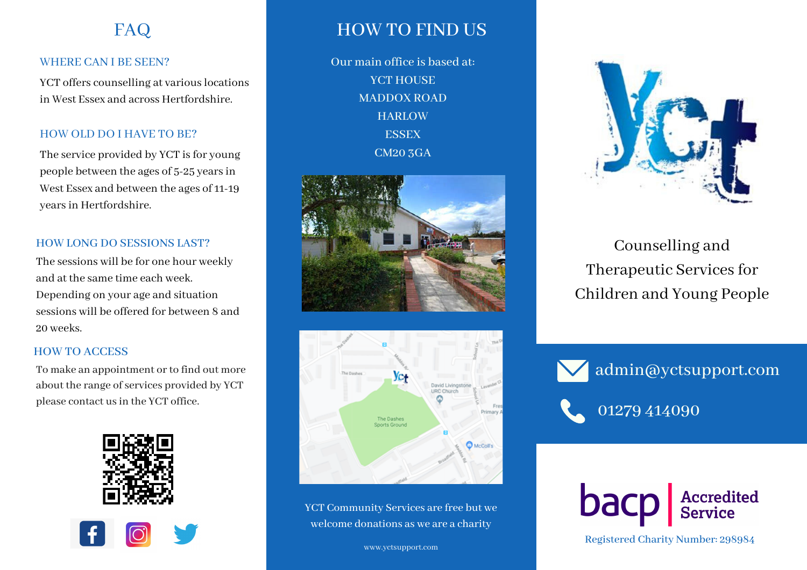# FAQ

#### WHERE CAN I BE SEEN?

YCT offers counselling at various locations in West Essex and across Hertfordshire.

#### HOW OLD DO I HAVE TO BE?

The service provided by YCT is for young people between the ages of 5-25 yearsin West Essex and between the ages of 11-19 years in Hertfordshire.

#### HOW LONG DO SESSIONS LAST?

The sessions will be for one hour weekly and at the same time each week. Depending on your age and situation sessions will be offered for between 8 and 20 weeks.

#### HOW TO ACCESS

To make an appointment or to find out more about the range of services provided by YCT





## HOW TO FIND US

Our main office is based at: YCT HOUSE MADDOX ROAD **HARLOW ESSEX** CM20 3GA





YCT Community Services are free but we welcome donations as we are a charity



Counselling and Therapeutic Services for Children and Young People

admin@yctsupport.com



Registered Charity Number: 298984